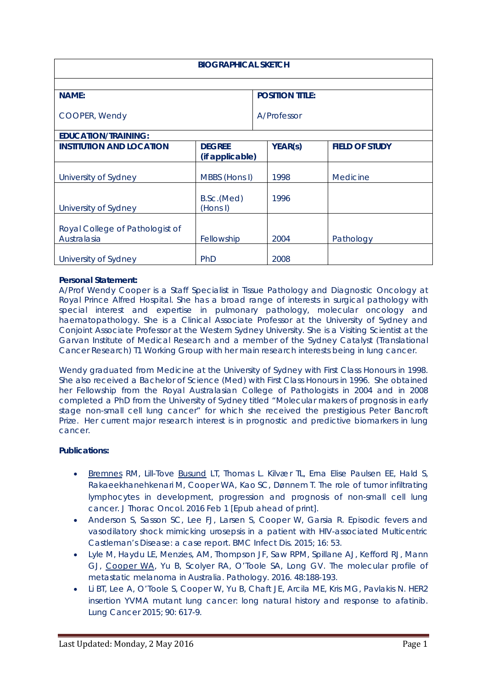| <b>BIOGRAPHICAL SKETCH</b>                     |                                  |                        |                |                       |
|------------------------------------------------|----------------------------------|------------------------|----------------|-----------------------|
| <b>NAME:</b>                                   |                                  | <b>POSITION TITLE:</b> |                |                       |
| COOPER, Wendy                                  |                                  |                        | A/Professor    |                       |
| <b>EDUCATION/TRAINING:</b>                     |                                  |                        |                |                       |
| <b>INSTITUTION AND LOCATION</b>                | <b>DEGREE</b><br>(if applicable) |                        | <b>YEAR(s)</b> | <b>FIELD OF STUDY</b> |
| University of Sydney                           | MBBS (Hons I)                    |                        | 1998           | Medicine              |
| University of Sydney                           | B.Sc.(Med)<br>(Hons I)           |                        | 1996           |                       |
| Royal College of Pathologist of<br>Australasia | Fellowship                       |                        | 2004           | Pathology             |
| University of Sydney                           | <b>PhD</b>                       |                        | 2008           |                       |

## **Personal Statement:**

A/Prof Wendy Cooper is a Staff Specialist in Tissue Pathology and Diagnostic Oncology at Royal Prince Alfred Hospital. She has a broad range of interests in surgical pathology with special interest and expertise in pulmonary pathology, molecular oncology and haematopathology. She is a Clinical Associate Professor at the University of Sydney and Conjoint Associate Professor at the Western Sydney University. She is a Visiting Scientist at the Garvan Institute of Medical Research and a member of the Sydney Catalyst (Translational Cancer Research) T1 Working Group with her main research interests being in lung cancer.

Wendy graduated from Medicine at the University of Sydney with First Class Honours in 1998. She also received a Bachelor of Science (Med) with First Class Honours in 1996. She obtained her Fellowship from the Royal Australasian College of Pathologists in 2004 and in 2008 completed a PhD from the University of Sydney titled "Molecular makers of prognosis in early stage non-small cell lung cancer" for which she received the prestigious Peter Bancroft Prize. Her current major research interest is in prognostic and predictive biomarkers in lung cancer.

## **Publications:**

- [Bremnes](http://www.ncbi.nlm.nih.gov/sites/entrez?Db=pubmed&Cmd=Search&Term=%22Bremnes%20RM%22%5BAuthor%5D&itool=EntrezSystem2.PEntrez.Pubmed.Pubmed_ResultsPanel.Pubmed_DiscoveryPanel.Pubmed_RVAbstractPlus) RM, Lill-Tove [Busund](http://www.ncbi.nlm.nih.gov/sites/entrez?Db=pubmed&Cmd=Search&Term=%22Busund%20LT%22%5BAuthor%5D&itool=EntrezSystem2.PEntrez.Pubmed.Pubmed_ResultsPanel.Pubmed_DiscoveryPanel.Pubmed_RVAbstractPlus) LT, Thomas L. Kilvær TL, Erna Elise Paulsen EE, Hald S, Rakaeekhanehkenari M, Cooper WA, Kao SC, Dønnem T. The role of tumor infiltrating lymphocytes in development, progression and prognosis of non-small cell lung cancer. J Thorac Oncol. 2016 Feb 1 [Epub ahead of print].
- Anderson S, Sasson SC, Lee FJ, Larsen S, Cooper W, Garsia R. Episodic fevers and vasodilatory shock mimicking urosepsis in a patient with HIV-associated Multicentric Castleman's Disease: a case report. BMC Infect Dis. 2015; 16: 53.
- Lyle M, Haydu LE, Menzies, AM, Thompson JF, Saw RPM, Spillane AJ, Kefford RJ, Mann GJ, Cooper WA, Yu B, Scolyer RA, O'Toole SA, Long GV. The molecular profile of metastatic melanoma in Australia. Pathology. 2016. 48:188-193.
- Li BT, Lee A, O'Toole S, Cooper W, Yu B, Chaft JE, Arcila ME, Kris MG, Pavlakis N. HER2 insertion YVMA mutant lung cancer: long natural history and response to afatinib. Lung Cancer 2015; 90: 617-9.